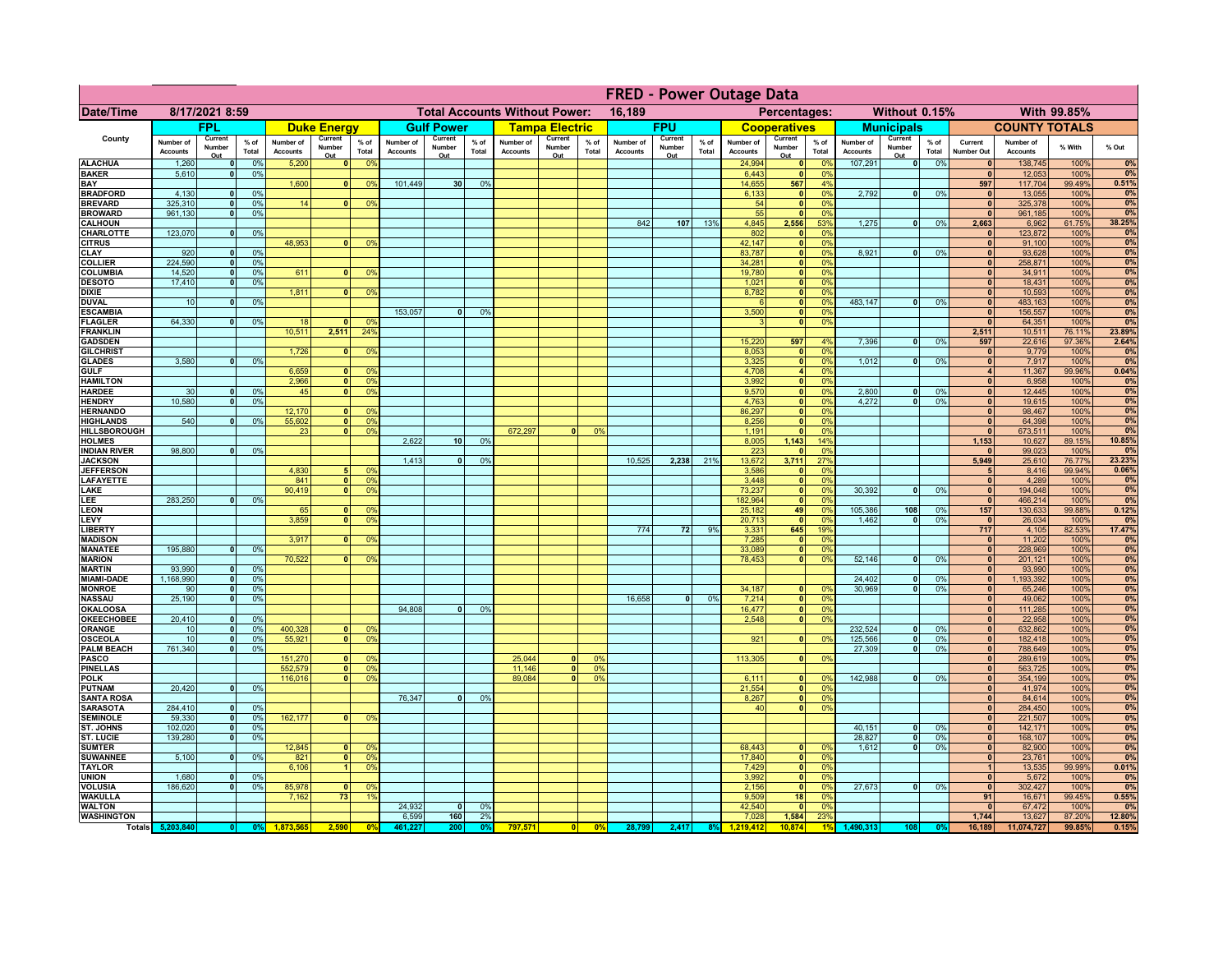|                                         | <b>FRED - Power Outage Data</b> |                              |                    |                              |                          |                                                  |                              |                          |                 |                              |                                              |                 |                              |                          |                 |                              |                                             |                        |                              |                          |                 |                              |                              |                |                 |
|-----------------------------------------|---------------------------------|------------------------------|--------------------|------------------------------|--------------------------|--------------------------------------------------|------------------------------|--------------------------|-----------------|------------------------------|----------------------------------------------|-----------------|------------------------------|--------------------------|-----------------|------------------------------|---------------------------------------------|------------------------|------------------------------|--------------------------|-----------------|------------------------------|------------------------------|----------------|-----------------|
| Date/Time                               | 8/17/2021 8:59                  |                              |                    |                              |                          | <b>Total Accounts Without Power:</b><br>16,189   |                              |                          |                 |                              | With 99.85%<br>Percentages:<br>Without 0.15% |                 |                              |                          |                 |                              |                                             |                        |                              |                          |                 |                              |                              |                |                 |
|                                         |                                 | <b>FPL</b>                   |                    |                              | <b>Duke Energy</b>       |                                                  |                              | <b>Gulf Power</b>        |                 |                              | <b>Tampa Electric</b>                        |                 |                              | <b>FPU</b>               |                 |                              | <b>Cooperatives</b>                         |                        |                              | <b>Municipals</b>        |                 |                              | <b>COUNTY TOTALS</b>         |                |                 |
| County                                  | Number of<br><b>Accounts</b>    | Current<br>Number<br>Out     | % of<br>Total      | Number of<br><b>Accounts</b> | Current<br>Number<br>Out | $%$ of<br>Total                                  | Number of<br><b>Accounts</b> | Current<br>Number<br>Out | $%$ of<br>Total | Number of<br><b>Accounts</b> | Current<br>Number<br>Out                     | $%$ of<br>Total | Number of<br><b>Accounts</b> | Current<br>Number<br>Out | $%$ of<br>Total | Number of<br><b>Accounts</b> | Current<br>Number<br>Out                    | $%$ of<br>Total        | Number of<br><b>Accounts</b> | Current<br>Number<br>Out | $%$ of<br>Total | Current<br><b>Number Out</b> | Number of<br><b>Accounts</b> | % With         | % Out           |
| <b>ALACHUA</b>                          | 1,260                           | $\mathbf{0}$                 | 0%                 | 5,200                        |                          | 0 <sup>9</sup><br>$\mathbf{0}$                   |                              |                          |                 |                              |                                              |                 |                              |                          |                 | 24,994                       | 0                                           | 0 <sup>9</sup>         | 107,291                      | 0                        | 0%              | $\mathbf{0}$                 | 138,745                      | 100%           | 0%              |
| <b>BAKER</b><br>BAY                     | 5,610                           | 0                            | 0%                 | 1,600                        | 0                        | 0 <sup>9</sup>                                   | 101,449                      | 30 <sup>1</sup>          | 0%              |                              |                                              |                 |                              |                          |                 | 6,443<br>14.655              | 0 <br>567                                   | 0%<br>4%               |                              |                          |                 | $\mathbf{0}$<br>597          | 12,053<br>117,704            | 100%<br>99.49% | 0%<br>0.51%     |
| <b>BRADFORD</b>                         | 4,130                           | $\mathbf{0}$                 | 0%                 |                              |                          |                                                  |                              |                          |                 |                              |                                              |                 |                              |                          |                 | 6,133                        | 0                                           | 0%                     | 2,792                        | -ol                      | 0%              | $\mathbf{0}$                 | 13,055                       | 100%           | 0%              |
| <b>BREVARD</b>                          | 325.310                         | 0                            | 0%                 | 14                           |                          | 0 <sup>9</sup>                                   |                              |                          |                 |                              |                                              |                 |                              |                          |                 | 54                           | $\mathbf{0}$                                | 0%                     |                              |                          |                 | $\mathbf{0}$                 | 325,378                      | 100%           | 0%              |
| <b>BROWARD</b>                          | 961.130                         | 0                            | 0%                 |                              |                          |                                                  |                              |                          |                 |                              |                                              |                 |                              |                          |                 | 55                           | 0                                           | 0%                     |                              |                          |                 | $\mathbf{0}$                 | 961,185                      | 100%           | 0%              |
| <b>CALHOUN</b><br>CHARLOTTE             | 123,070                         | $\mathbf{0}$                 | 0%                 |                              |                          |                                                  |                              |                          |                 |                              |                                              |                 | 842                          | 107                      | 13%             | 4,845<br>802                 | 2,556<br>$\mathbf 0$                        | 53%<br>0%              | 1,275                        | -ol                      | 0%              | 2,663                        | 6,962<br>123,872             | 61.75%<br>100% | 38.25%<br>0%    |
| <b>CITRUS</b>                           |                                 |                              |                    | 48,953                       |                          | 0 <sup>9</sup>                                   |                              |                          |                 |                              |                                              |                 |                              |                          |                 | 42,147                       | 0                                           | 0%                     |                              |                          |                 | $\mathbf{0}$                 | 91,100                       | 100%           | 0%              |
| <b>CLAY</b>                             | 920                             | 0                            | 0%                 |                              |                          |                                                  |                              |                          |                 |                              |                                              |                 |                              |                          |                 | 83,787                       | 0                                           | 0%                     | 8,921                        | -ol                      | 0%              | $\mathbf{0}$                 | 93,628                       | 100%           | 0%              |
| <b>COLLIER</b>                          | 224,590                         | 0                            | 0%                 | 611                          | $\Omega$                 |                                                  |                              |                          |                 |                              |                                              |                 |                              |                          |                 | 34,281<br>19,780             | 0                                           | 0%<br>0%               |                              |                          |                 | 0 <br>$\mathbf{0}$           | 258,871                      | 100%           | 0%              |
| COLUMBIA<br><b>DESOTO</b>               | 14,520<br>17,410                | 0 <br> 0                     | 0%<br>0%           |                              |                          | 0 <sup>9</sup>                                   |                              |                          |                 |                              |                                              |                 |                              |                          |                 | 1,021                        | 0 <br> 0                                    | 0%                     |                              |                          |                 | $\mathbf{0}$                 | 34,911<br>18,431             | 100%<br>100%   | 0%<br>0%        |
| <b>DIXIE</b>                            |                                 |                              |                    | 1.811                        |                          | $\overline{0}$<br>0 <sup>9</sup>                 |                              |                          |                 |                              |                                              |                 |                              |                          |                 | 8,782                        | $\overline{\bullet}$                        | 0%                     |                              |                          |                 | 0                            | 10,593                       | 100%           | 0%              |
| <b>DUVAL</b>                            | 10                              | 0                            | 0%                 |                              |                          |                                                  |                              |                          |                 |                              |                                              |                 |                              |                          |                 | $\epsilon$                   | 0                                           | 0%                     | 483.147                      | $\mathbf{0}$             | 0%              | $\mathbf{0}$                 | 483,163                      | 100%           | 0%              |
| <b>ESCAMBIA</b>                         | 64,330                          |                              |                    | 18                           | $\mathbf{0}$             | 0 <sup>9</sup>                                   | 153,057                      | 0                        | 0 <sup>0</sup>  |                              |                                              |                 |                              |                          |                 | 3,500<br>$\mathbf{R}$        | 0 <br> 0                                    | 0%<br>0%               |                              |                          |                 | 0 <br>$\mathbf{0}$           | 156,557                      | 100%           | 0%<br>0%        |
| <b>FLAGLER</b><br><b>FRANKLIN</b>       |                                 | 0                            | 0%                 | 10,511                       | 2,511                    | 24 <sup>°</sup>                                  |                              |                          |                 |                              |                                              |                 |                              |                          |                 |                              |                                             |                        |                              |                          |                 | 2,511                        | 64,351<br>10,511             | 100%<br>76.11% | 23.89%          |
| <b>GADSDEN</b>                          |                                 |                              |                    |                              |                          |                                                  |                              |                          |                 |                              |                                              |                 |                              |                          |                 | 15,220                       | 597                                         | 4%                     | 7,396                        | $\overline{0}$           | 0%              | 597                          | 22,616                       | 97.36%         | 2.64%           |
| <b>GILCHRIST</b>                        |                                 |                              |                    | 1,726                        | 0                        | 0 <sup>9</sup>                                   |                              |                          |                 |                              |                                              |                 |                              |                          |                 | 8,053                        | 0                                           | 0%                     |                              |                          |                 | 0                            | 9,779                        | 100%           | 0%              |
| <b>GLADES</b>                           | 3,580                           |                              | 0%<br>$\mathbf{0}$ | 6,659                        |                          | 0 <sup>9</sup><br>$\mathbf{0}$                   |                              |                          |                 |                              |                                              |                 |                              |                          |                 | 3,325                        | $\overline{\mathbf{0}}$<br>$\left  \right $ | 0%<br>0%               | 1,012                        | $\overline{0}$           | 0%              | 0 <br>$\overline{4}$         | 7,917                        | 100%<br>99.96% | 0%<br>0.04%     |
| <b>GULF</b><br><b>HAMILTON</b>          |                                 |                              |                    | 2,966                        |                          | $\overline{0}$<br>0 <sup>9</sup>                 |                              |                          |                 |                              |                                              |                 |                              |                          |                 | 4,708<br>3,992               | 0                                           | 0%                     |                              |                          |                 | $\overline{0}$               | 11,367<br>6,958              | 100%           | 0%              |
| <b>HARDEE</b>                           | 30                              | $\overline{0}$               | 0 <sup>9</sup>     | 45                           |                          | $\mathbf{0}$<br>0 <sup>9</sup>                   |                              |                          |                 |                              |                                              |                 |                              |                          |                 | 9,570                        | 0                                           | 0%                     | 2,800                        | $\mathbf{0}$             | 0%              | $\mathbf{0}$                 | 12,445                       | 100%           | 0%              |
| <b>HENDRY</b>                           | 10,580                          | $\Omega$                     | 0 <sup>9</sup>     |                              |                          |                                                  |                              |                          |                 |                              |                                              |                 |                              |                          |                 | 4,763                        | 0                                           | 0%                     | 4,272                        | 0                        | 0%              | $\mathbf{0}$                 | 19,615                       | 100%           | 0%              |
| <b>HERNANDO</b>                         | 540                             | $\mathbf{0}$                 |                    | 12,170<br>55,602             | $\mathbf{0}$<br> 0       | 0 <sup>9</sup><br>0 <sup>9</sup>                 |                              |                          |                 |                              |                                              |                 |                              |                          |                 | 86,297                       | 0                                           | 0%<br>0%               |                              |                          |                 | $\mathbf{0}$<br>$\mathbf{0}$ | 98,467                       | 100%           | 0%<br>0%        |
| <b>HIGHLANDS</b><br><b>HILLSBOROUGH</b> |                                 |                              | 0 <sup>9</sup>     | 23                           |                          | $\overline{0}$<br>0 <sup>9</sup>                 |                              |                          |                 | 672.297                      |                                              | 0%              |                              |                          |                 | 8,256<br>1,191               | 0 <br>$\mathbf{0}$                          | 0%                     |                              |                          |                 | $\mathbf{0}$                 | 64,398<br>673,511            | 100%<br>100%   | 0%              |
| <b>HOLMES</b>                           |                                 |                              |                    |                              |                          |                                                  | 2.622                        | 10 <sup>1</sup>          | 0%              |                              |                                              |                 |                              |                          |                 | 8.005                        | 1,143                                       | 14%                    |                              |                          |                 | 1,153                        | 10,627                       | 89.15%         | 10.85%          |
| <b>INDIAN RIVER</b>                     | 98,800                          | nl                           | 0%                 |                              |                          |                                                  |                              |                          |                 |                              |                                              |                 |                              |                          |                 | 223                          | $\mathbf{0}$                                | 0%                     |                              |                          |                 |                              | 99,023                       | 100%           | 0%              |
| <b>JACKSON</b><br><b>JEFFERSON</b>      |                                 |                              |                    | 4,830                        |                          | 0 <sup>9</sup>                                   | 1.413                        | $\Omega$                 | 0%              |                              |                                              |                 | 10.525                       | 2,238                    | 21%             | 13,672                       | 3,711<br> 0                                 | 27%<br>0%              |                              |                          |                 | 5,949<br>5 <sub>1</sub>      | 25,610                       | 76.77%         | 23.23%<br>0.06% |
| <b>LAFAYETTE</b>                        |                                 |                              |                    | 841                          | $\mathbf{0}$             | 0 <sup>9</sup>                                   |                              |                          |                 |                              |                                              |                 |                              |                          |                 | 3,586<br>3,448               | 0                                           | 0%                     |                              |                          |                 | 0                            | 8,416<br>4,289               | 99.94%<br>100% | 0%              |
| LAKE                                    |                                 |                              |                    | 90,419                       | $\Omega$                 | 0 <sup>9</sup>                                   |                              |                          |                 |                              |                                              |                 |                              |                          |                 | 73,237                       | 0                                           | 0%                     | 30,392                       | $\Omega$                 | 0%              | 0                            | 194,048                      | 100%           | 0%              |
| LEE                                     | 283,250                         | $\overline{0}$               | 0%                 |                              |                          |                                                  |                              |                          |                 |                              |                                              |                 |                              |                          |                 | 182,964                      | 0                                           | 0%                     |                              |                          |                 | 0                            | 466,214                      | 100%           | 0%              |
| <b>LEON</b><br>LEVY                     |                                 |                              |                    | 65<br>3,859                  | $\mathbf{0}$<br>$\Omega$ | 0 <sup>9</sup><br>0 <sup>9</sup>                 |                              |                          |                 |                              |                                              |                 |                              |                          |                 | 25,182<br>20,713             | 49<br> 0                                    | 0%<br>0%               | 105,386<br>1,462             | 108<br>$\mathbf{0}$      | 0%<br>0%        | 157<br> 0                    | 130,633<br>26,034            | 99.88%<br>100% | 0.12%<br>0%     |
| <b>LIBERTY</b>                          |                                 |                              |                    |                              |                          |                                                  |                              |                          |                 |                              |                                              |                 | 774                          | 72                       | 9%              | 3,331                        | 645                                         | 19%                    |                              |                          |                 | 717                          | 4,105                        | 82.53%         | 17.47%          |
| <b>MADISON</b>                          |                                 |                              |                    | 3,917                        | 0                        | 0 <sup>9</sup>                                   |                              |                          |                 |                              |                                              |                 |                              |                          |                 | 7,285                        | 0                                           | 0%                     |                              |                          |                 | 0                            | 11,202                       | 100%           | 0%              |
| <b>MANATEE</b>                          | 195,880                         | 0                            | 0%                 |                              |                          |                                                  |                              |                          |                 |                              |                                              |                 |                              |                          |                 | 33,089                       | 0                                           | 0%                     |                              |                          |                 | 0                            | 228,969                      | 100%           | 0%              |
| <b>MARION</b><br><b>MARTIN</b>          | 93,990                          | 0                            | 0%                 | 70,522                       |                          | 0 <br>0 <sup>9</sup>                             |                              |                          |                 |                              |                                              |                 |                              |                          |                 | 78,453                       | 0                                           | 0%                     | 52,146                       | -ol                      | 0%              | 0 <br> 0                     | 201,121<br>93,990            | 100%<br>100%   | 0%<br>0%        |
| <b>MIAMI-DADE</b>                       | 1,168,990                       | 0                            | 0%                 |                              |                          |                                                  |                              |                          |                 |                              |                                              |                 |                              |                          |                 |                              |                                             |                        | 24,402                       | 0                        | 0%              | 0                            | 1,193,392                    | 100%           | 0%              |
| <b>MONROE</b>                           | 90                              | 0                            | 0%                 |                              |                          |                                                  |                              |                          |                 |                              |                                              |                 |                              |                          |                 | 34,187                       | 0                                           | $\Omega$ <sup>o</sup>  | 30,969                       | 0                        | 0%              | 0                            | 65,246                       | 100%           | 0%              |
| <b>NASSAU</b>                           | 25,190                          | 0                            | 0%                 |                              |                          |                                                  |                              |                          |                 |                              |                                              |                 | 16,658                       | 0                        | 0%              | 7,214                        | 0                                           | 0%                     |                              |                          |                 | 0                            | 49,062                       | 100%           | 0%              |
| <b>OKALOOSA</b><br>OKEECHOBEE           | 20,410                          | 0                            | 0%                 |                              |                          |                                                  | 94,808                       | 0                        | 0%              |                              |                                              |                 |                              |                          |                 | 16,477<br>2,548              |                                             | 0%<br> 0 <br> 0 <br>0% |                              |                          |                 | 0 <br> 0                     | 111,285<br>22,958            | 100%<br>100%   | 0%<br>0%        |
| ORANGE                                  | 10                              | 0                            | 0%                 | 400,328                      |                          | 0 <br>0 <sup>9</sup>                             |                              |                          |                 |                              |                                              |                 |                              |                          |                 |                              |                                             |                        | 232,524                      | 0                        | 0%              | 0                            | 632,862                      | 100%           | 0%              |
| <b>OSCEOLA</b>                          | 10                              | 0                            | 0 <sup>9</sup>     | 55,92'                       | $\Omega$                 | 0 <sup>9</sup>                                   |                              |                          |                 |                              |                                              |                 |                              |                          |                 | 921                          |                                             | 0 <br>0%               | 125,566                      | 0                        | 0%              | 0                            | 182,418                      | 100%           | 0%              |
| <b>PALM BEACH</b>                       | 761,340                         |                              | 0%<br> 0           |                              |                          |                                                  |                              |                          |                 |                              |                                              |                 |                              |                          |                 |                              |                                             |                        | 27,309                       | $\overline{\phantom{0}}$ | 0%              | 0                            | 788,649                      | 100%           | 0%              |
| PASCO<br><b>PINELLAS</b>                |                                 |                              |                    | 151,270<br>552,579           | 0                        | $\mathbf{0}$<br>0 <sup>9</sup><br>0 <sup>9</sup> |                              |                          |                 | 25,044<br>11,146             | $\Omega$<br>$\mathbf{0}$                     | 0%<br>0%        |                              |                          |                 | 113,305                      |                                             | 0 <br>0%               |                              |                          |                 | 0 <br>$\mathbf{0}$           | 289,619<br>563,725           | 100%<br>100%   | 0%<br>0%        |
| <b>POLK</b>                             |                                 |                              |                    | 116,016                      |                          | 0 <sup>9</sup><br> 0                             |                              |                          |                 | 89,084                       | $\mathbf{0}$                                 | 0%              |                              |                          |                 | 6,111                        | 0                                           | $\Omega$ <sup>9</sup>  | 142,988                      | 0                        | 0%              | $\mathbf{0}$                 | 354,199                      | 100%           | 0%              |
| PUTNAM                                  | 20,420                          | $\mathbf{0}$                 | 0%                 |                              |                          |                                                  |                              |                          |                 |                              |                                              |                 |                              |                          |                 | 21,554                       | 0                                           | 0%                     |                              |                          |                 | $\mathbf{0}$                 | 41,974                       | 100%           | 0%              |
| <b>SANTA ROSA</b>                       |                                 |                              |                    |                              |                          |                                                  | 76,347                       | $\mathbf{0}$             | 0%              |                              |                                              |                 |                              |                          |                 | 8,267                        | 0                                           | 0%                     |                              |                          |                 | $\mathbf{0}$                 | 84,614                       | 100%           | 0%              |
| <b>SARASOTA</b><br><b>SEMINOLE</b>      | 284,410<br>59,330               | $\mathbf{0}$<br>$\mathbf{0}$ | 0%<br>0%           | 162,177                      | $\Omega$                 | 0 <sup>9</sup>                                   |                              |                          |                 |                              |                                              |                 |                              |                          |                 | 40                           |                                             | 0 <br>0%               |                              |                          |                 | $\mathbf{0}$<br>$\mathbf{0}$ | 284,450<br>221,507           | 100%<br>100%   | 0%<br>0%        |
| ST. JOHNS                               | 102,020                         | 0                            | 0%                 |                              |                          |                                                  |                              |                          |                 |                              |                                              |                 |                              |                          |                 |                              |                                             |                        | 40,151                       | $\mathbf{0}$             | 0%              | $\mathbf{0}$                 | 142,171                      | 100%           | 0%              |
| <b>ST. LUCIE</b>                        | 139,280                         | $\mathbf{0}$                 | 0 <sup>9</sup>     |                              |                          |                                                  |                              |                          |                 |                              |                                              |                 |                              |                          |                 |                              |                                             |                        | 28,827                       | 0                        | 0%              | $\mathbf{0}$                 | 168,107                      | 100%           | 0%              |
| <b>SUMTER</b>                           |                                 |                              |                    | 12,845                       |                          | 0 <sup>9</sup>                                   |                              |                          |                 |                              |                                              |                 |                              |                          |                 | 68,443                       | 0                                           | 0 <sup>9</sup>         | 1,612                        | $\overline{\phantom{0}}$ | 0%              | $\mathbf{0}$                 | 82,900                       | 100%           | 0%              |
| <b>SUWANNEE</b><br><b>TAYLOR</b>        | 5,100                           | 0                            | 0%                 | 821<br>6,106                 | $\mathbf{0}$             | 0 <sup>9</sup><br>0 <sup>9</sup>                 |                              |                          |                 |                              |                                              |                 |                              |                          |                 | 17,840<br>7,429              | 0 <br> 0                                    | 0%<br>0%               |                              |                          |                 | $\mathbf{0}$<br>$\mathbf{1}$ | 23,761<br>13,535             | 100%<br>99.99% | 0%<br>0.01%     |
| <b>UNION</b>                            | 1,680                           | $\bullet$                    | 0 <sup>9</sup>     |                              |                          |                                                  |                              |                          |                 |                              |                                              |                 |                              |                          |                 | 3,992                        | 0                                           | 0%                     |                              |                          |                 | $\mathbf{0}$                 | 5,672                        | 100%           | 0%              |
| <b>VOLUSIA</b>                          | 186,620                         | 0                            | 0%                 | 85,978                       | $\mathbf{0}$             | 0 <sup>9</sup>                                   |                              |                          |                 |                              |                                              |                 |                              |                          |                 | 2,156                        | 0                                           | 0%                     | 27,673                       | 0                        | 0%              | $\mathbf{0}$                 | 302,427                      | 100%           | 0%              |
| <b>WAKULLA</b>                          |                                 |                              |                    | 7,162                        | 73                       | 1 <sup>9</sup>                                   | 24,932                       |                          |                 |                              |                                              |                 |                              |                          |                 | 9,509<br>42,540              | 18<br> 0                                    | 0%<br>0%               |                              |                          |                 | 91<br>$\mathbf{0}$           | 16,671                       | 99.45%<br>100% | 0.55%           |
| <b>WALTON</b><br><b>WASHINGTON</b>      |                                 |                              |                    |                              |                          |                                                  | 6,599                        | $\bullet$<br>160         | 0%<br>2%        |                              |                                              |                 |                              |                          |                 | 7,028                        | 1,584                                       | 23%                    |                              |                          |                 | 1,744                        | 67,472<br>13,627             | 87.20%         | 0%<br>12.80%    |
|                                         | Totals 5,203,840                | $\bullet$                    | 0 <sup>o</sup>     | 1.873.565                    | 2,590                    | 0 <sup>0</sup>                                   | 461,227                      | 200                      | 0%              | 797,571                      | $\overline{0}$                               | 0%              | 28,799                       | 2,417                    | 8%              | 1.219.412                    | 10.874                                      |                        | 1,490,313                    | 108                      | 0%              | 16,189                       | 11,074,727                   | 99.85%         | 0.15%           |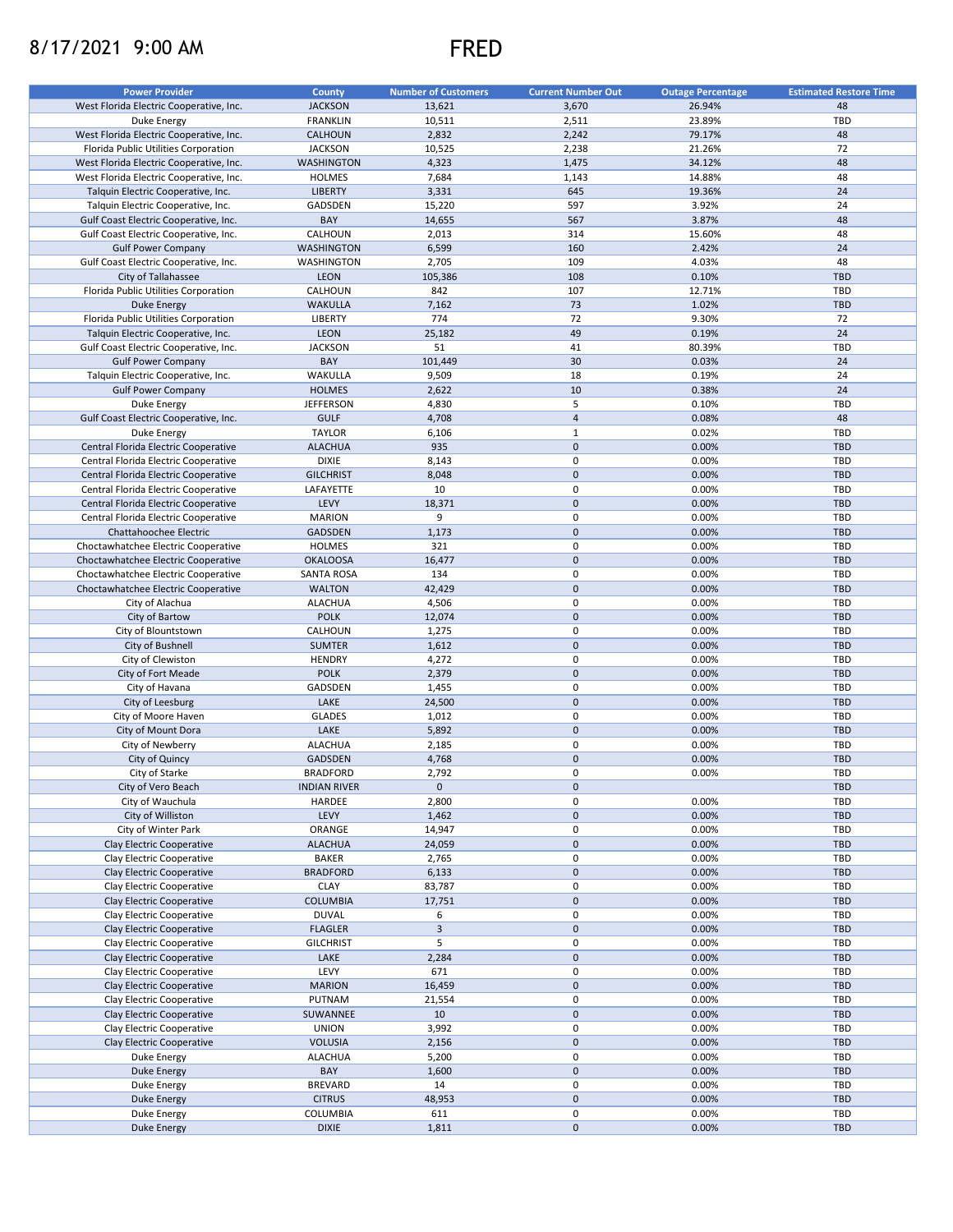## 8/17/2021 9:00 AM FRED



| <b>Power Provider</b>                   | <b>County</b>       | <b>Number of Customers</b> | <b>Current Number Out</b> | <b>Outage Percentage</b> | <b>Estimated Restore Time</b> |
|-----------------------------------------|---------------------|----------------------------|---------------------------|--------------------------|-------------------------------|
| West Florida Electric Cooperative, Inc. | <b>JACKSON</b>      | 13,621                     | 3,670                     | 26.94%                   | 48                            |
|                                         |                     |                            |                           |                          |                               |
| Duke Energy                             | <b>FRANKLIN</b>     | 10,511                     | 2,511                     | 23.89%                   | TBD                           |
| West Florida Electric Cooperative, Inc. | CALHOUN             | 2,832                      | 2,242                     | 79.17%                   | 48                            |
| Florida Public Utilities Corporation    | <b>JACKSON</b>      | 10,525                     | 2,238                     | 21.26%                   | 72                            |
| West Florida Electric Cooperative, Inc. | <b>WASHINGTON</b>   | 4,323                      | 1,475                     | 34.12%                   | 48                            |
| West Florida Electric Cooperative, Inc. | <b>HOLMES</b>       | 7,684                      | 1,143                     | 14.88%                   | 48                            |
| Talquin Electric Cooperative, Inc.      | <b>LIBERTY</b>      | 3,331                      | 645                       | 19.36%                   | 24                            |
| Talquin Electric Cooperative, Inc.      | GADSDEN             | 15,220                     | 597                       | 3.92%                    | 24                            |
| Gulf Coast Electric Cooperative, Inc.   | BAY                 | 14,655                     | 567                       | 3.87%                    | 48                            |
| Gulf Coast Electric Cooperative, Inc.   | CALHOUN             | 2,013                      | 314                       | 15.60%                   | 48                            |
| <b>Gulf Power Company</b>               | <b>WASHINGTON</b>   | 6,599                      | 160                       | 2.42%                    | 24                            |
| Gulf Coast Electric Cooperative, Inc.   | WASHINGTON          | 2,705                      | 109                       | 4.03%                    | 48                            |
| City of Tallahassee                     | <b>LEON</b>         | 105,386                    | 108                       | 0.10%                    | <b>TBD</b>                    |
|                                         | CALHOUN             | 842                        | 107                       | 12.71%                   | TBD                           |
| Florida Public Utilities Corporation    |                     |                            |                           |                          |                               |
| Duke Energy                             | <b>WAKULLA</b>      | 7,162                      | 73                        | 1.02%                    | <b>TBD</b>                    |
| Florida Public Utilities Corporation    | <b>LIBERTY</b>      | 774                        | 72                        | 9.30%                    | 72                            |
| Talquin Electric Cooperative, Inc.      | LEON                | 25,182                     | 49                        | 0.19%                    | 24                            |
| Gulf Coast Electric Cooperative, Inc.   | <b>JACKSON</b>      | 51                         | 41                        | 80.39%                   | TBD                           |
| <b>Gulf Power Company</b>               | BAY                 | 101,449                    | 30                        | 0.03%                    | 24                            |
| Talquin Electric Cooperative, Inc.      | WAKULLA             | 9,509                      | 18                        | 0.19%                    | 24                            |
| <b>Gulf Power Company</b>               | <b>HOLMES</b>       | 2,622                      | 10                        | 0.38%                    | 24                            |
| Duke Energy                             | <b>JEFFERSON</b>    | 4,830                      | 5                         | 0.10%                    | TBD                           |
| Gulf Coast Electric Cooperative, Inc.   | <b>GULF</b>         | 4,708                      | $\overline{4}$            | 0.08%                    | 48                            |
| Duke Energy                             | <b>TAYLOR</b>       | 6,106                      | $\mathbf{1}$              | 0.02%                    | <b>TBD</b>                    |
| Central Florida Electric Cooperative    | <b>ALACHUA</b>      | 935                        | $\pmb{0}$                 | 0.00%                    | <b>TBD</b>                    |
|                                         |                     |                            | 0                         |                          | TBD                           |
| Central Florida Electric Cooperative    | <b>DIXIE</b>        | 8,143                      |                           | 0.00%                    |                               |
| Central Florida Electric Cooperative    | <b>GILCHRIST</b>    | 8,048                      | $\pmb{0}$                 | 0.00%                    | <b>TBD</b>                    |
| Central Florida Electric Cooperative    | LAFAYETTE           | 10                         | 0                         | 0.00%                    | <b>TBD</b>                    |
| Central Florida Electric Cooperative    | LEVY                | 18,371                     | $\pmb{0}$                 | 0.00%                    | <b>TBD</b>                    |
| Central Florida Electric Cooperative    | <b>MARION</b>       | 9                          | 0                         | 0.00%                    | <b>TBD</b>                    |
| Chattahoochee Electric                  | <b>GADSDEN</b>      | 1,173                      | $\mathsf 0$               | 0.00%                    | <b>TBD</b>                    |
| Choctawhatchee Electric Cooperative     | HOLMES              | 321                        | 0                         | 0.00%                    | TBD                           |
| Choctawhatchee Electric Cooperative     | <b>OKALOOSA</b>     | 16,477                     | $\pmb{0}$                 | 0.00%                    | <b>TBD</b>                    |
| Choctawhatchee Electric Cooperative     | <b>SANTA ROSA</b>   | 134                        | 0                         | 0.00%                    | TBD                           |
| Choctawhatchee Electric Cooperative     | <b>WALTON</b>       | 42,429                     | $\pmb{0}$                 | 0.00%                    | <b>TBD</b>                    |
| City of Alachua                         | <b>ALACHUA</b>      | 4,506                      | 0                         | 0.00%                    | TBD                           |
|                                         |                     |                            | $\pmb{0}$                 |                          |                               |
| City of Bartow                          | <b>POLK</b>         | 12,074                     |                           | 0.00%                    | <b>TBD</b>                    |
| City of Blountstown                     | CALHOUN             | 1,275                      | 0                         | 0.00%                    | TBD                           |
| City of Bushnell                        | <b>SUMTER</b>       | 1,612                      | $\mathbf 0$               | 0.00%                    | <b>TBD</b>                    |
| City of Clewiston                       | <b>HENDRY</b>       | 4,272                      | 0                         | 0.00%                    | <b>TBD</b>                    |
| City of Fort Meade                      | <b>POLK</b>         | 2,379                      | $\pmb{0}$                 | 0.00%                    | <b>TBD</b>                    |
| City of Havana                          | GADSDEN             | 1,455                      | 0                         | 0.00%                    | TBD                           |
| City of Leesburg                        | LAKE                | 24,500                     | $\pmb{0}$                 | 0.00%                    | <b>TBD</b>                    |
| City of Moore Haven                     | <b>GLADES</b>       | 1,012                      | 0                         | 0.00%                    | <b>TBD</b>                    |
| City of Mount Dora                      | LAKE                | 5,892                      | $\pmb{0}$                 | 0.00%                    | <b>TBD</b>                    |
| City of Newberry                        | <b>ALACHUA</b>      | 2,185                      | 0                         | 0.00%                    | TBD                           |
| City of Quincy                          | <b>GADSDEN</b>      | 4,768                      | $\mathbf 0$               | 0.00%                    | <b>TBD</b>                    |
| City of Starke                          |                     |                            | 0                         |                          | TBD                           |
|                                         | <b>BRADFORD</b>     | 2,792                      |                           | 0.00%                    |                               |
| City of Vero Beach                      | <b>INDIAN RIVER</b> | $\mathbf 0$                | $\pmb{0}$                 |                          | <b>TBD</b>                    |
| City of Wauchula                        | HARDEE              | 2,800                      | 0                         | 0.00%                    | TBD                           |
| City of Williston                       | LEVY                | 1,462                      | 0                         | 0.00%                    | <b>TBD</b>                    |
| City of Winter Park                     | ORANGE              | 14,947                     | $\pmb{0}$                 | 0.00%                    | TBD                           |
| Clay Electric Cooperative               | <b>ALACHUA</b>      | 24,059                     | 0                         | 0.00%                    | TBD                           |
| Clay Electric Cooperative               | <b>BAKER</b>        | 2,765                      | $\pmb{0}$                 | 0.00%                    | TBD                           |
| Clay Electric Cooperative               | <b>BRADFORD</b>     | 6,133                      | $\pmb{0}$                 | 0.00%                    | <b>TBD</b>                    |
| Clay Electric Cooperative               | CLAY                | 83,787                     | 0                         | 0.00%                    | TBD                           |
| Clay Electric Cooperative               | <b>COLUMBIA</b>     | 17,751                     | $\pmb{0}$                 | 0.00%                    | <b>TBD</b>                    |
| Clay Electric Cooperative               | <b>DUVAL</b>        | 6                          | 0                         | 0.00%                    | TBD                           |
| Clay Electric Cooperative               | <b>FLAGLER</b>      | $\mathbf{3}$               | $\pmb{0}$                 | 0.00%                    | <b>TBD</b>                    |
|                                         |                     |                            |                           |                          |                               |
| Clay Electric Cooperative               | <b>GILCHRIST</b>    | 5                          | 0                         | 0.00%                    | TBD                           |
| Clay Electric Cooperative               | LAKE                | 2,284                      | $\pmb{0}$                 | 0.00%                    | <b>TBD</b>                    |
| Clay Electric Cooperative               | LEVY                | 671                        | 0                         | 0.00%                    | TBD                           |
| Clay Electric Cooperative               | <b>MARION</b>       | 16,459                     | $\pmb{0}$                 | 0.00%                    | <b>TBD</b>                    |
| Clay Electric Cooperative               | PUTNAM              | 21,554                     | $\pmb{0}$                 | 0.00%                    | TBD                           |
| Clay Electric Cooperative               | SUWANNEE            | 10                         | 0                         | 0.00%                    | <b>TBD</b>                    |
| Clay Electric Cooperative               | <b>UNION</b>        | 3,992                      | 0                         | 0.00%                    | TBD                           |
| Clay Electric Cooperative               | <b>VOLUSIA</b>      | 2,156                      | 0                         | 0.00%                    | TBD                           |
| Duke Energy                             | <b>ALACHUA</b>      | 5,200                      | 0                         | 0.00%                    | TBD                           |
| <b>Duke Energy</b>                      | BAY                 | 1,600                      | $\pmb{0}$                 | 0.00%                    | <b>TBD</b>                    |
| Duke Energy                             | <b>BREVARD</b>      | 14                         | 0                         | 0.00%                    | TBD                           |
| <b>Duke Energy</b>                      | <b>CITRUS</b>       | 48,953                     | $\pmb{0}$                 | 0.00%                    | <b>TBD</b>                    |
|                                         |                     |                            |                           |                          |                               |
| Duke Energy                             | COLUMBIA            | 611                        | 0                         | 0.00%                    | TBD                           |
| <b>Duke Energy</b>                      | <b>DIXIE</b>        | 1,811                      | 0                         | 0.00%                    | TBD                           |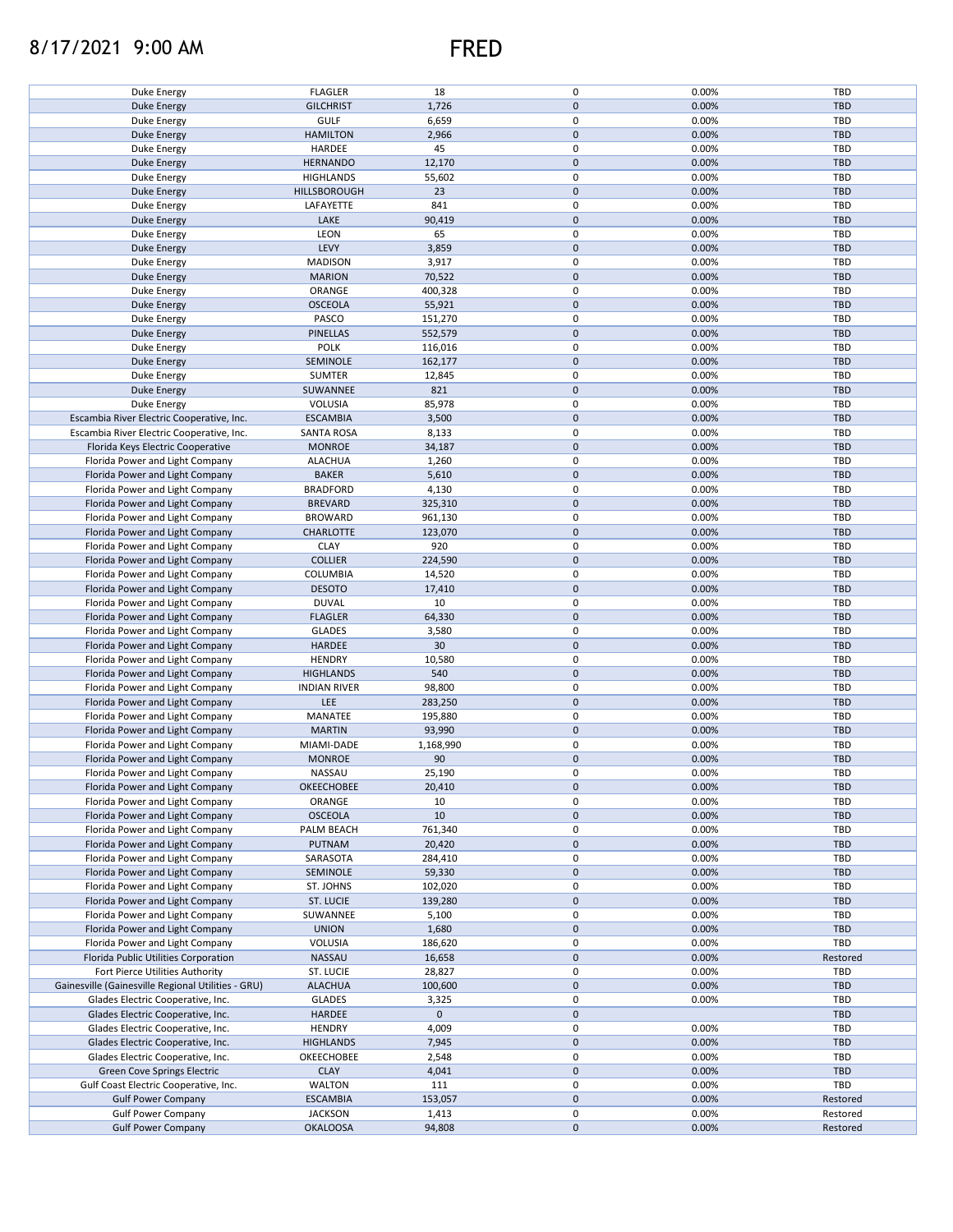## 8/17/2021 9:00 AM FRED

| Duke Energy                                        | <b>FLAGLER</b>      | 18          | $\pmb{0}$           | 0.00% | TBD        |
|----------------------------------------------------|---------------------|-------------|---------------------|-------|------------|
| Duke Energy                                        | <b>GILCHRIST</b>    | 1,726       | $\pmb{0}$           | 0.00% | <b>TBD</b> |
| Duke Energy                                        | <b>GULF</b>         | 6,659       | 0                   | 0.00% | TBD        |
|                                                    |                     |             |                     |       |            |
| <b>Duke Energy</b>                                 | <b>HAMILTON</b>     | 2,966       | $\pmb{0}$           | 0.00% | <b>TBD</b> |
| Duke Energy                                        | HARDEE              | 45          | 0                   | 0.00% | TBD        |
| <b>Duke Energy</b>                                 | <b>HERNANDO</b>     | 12,170      | $\mathsf{O}\xspace$ | 0.00% | <b>TBD</b> |
|                                                    |                     |             |                     |       |            |
| Duke Energy                                        | <b>HIGHLANDS</b>    | 55,602      | 0                   | 0.00% | TBD        |
| <b>Duke Energy</b>                                 | HILLSBOROUGH        | 23          | $\mathsf{O}\xspace$ | 0.00% | <b>TBD</b> |
| Duke Energy                                        | LAFAYETTE           | 841         | 0                   | 0.00% | <b>TBD</b> |
|                                                    |                     |             |                     |       |            |
| Duke Energy                                        | LAKE                | 90,419      | $\pmb{0}$           | 0.00% | <b>TBD</b> |
| Duke Energy                                        | LEON                | 65          | 0                   | 0.00% | TBD        |
| Duke Energy                                        | LEVY                | 3,859       | $\pmb{0}$           | 0.00% | <b>TBD</b> |
|                                                    |                     |             |                     |       |            |
| Duke Energy                                        | <b>MADISON</b>      | 3,917       | 0                   | 0.00% | TBD        |
| Duke Energy                                        | <b>MARION</b>       | 70,522      | $\pmb{0}$           | 0.00% | <b>TBD</b> |
| Duke Energy                                        | ORANGE              | 400,328     | 0                   | 0.00% | TBD        |
|                                                    |                     |             |                     |       |            |
| <b>Duke Energy</b>                                 | <b>OSCEOLA</b>      | 55,921      | $\mathsf{O}\xspace$ | 0.00% | <b>TBD</b> |
| Duke Energy                                        | PASCO               | 151,270     | 0                   | 0.00% | TBD        |
| <b>Duke Energy</b>                                 | <b>PINELLAS</b>     | 552,579     | $\mathsf{O}\xspace$ | 0.00% | <b>TBD</b> |
|                                                    |                     |             |                     |       |            |
| Duke Energy                                        | <b>POLK</b>         | 116,016     | 0                   | 0.00% | TBD        |
| <b>Duke Energy</b>                                 | SEMINOLE            | 162,177     | $\mathbf 0$         | 0.00% | <b>TBD</b> |
| Duke Energy                                        | <b>SUMTER</b>       | 12,845      | 0                   | 0.00% | TBD        |
|                                                    |                     |             |                     |       |            |
| <b>Duke Energy</b>                                 | SUWANNEE            | 821         | $\mathbf 0$         | 0.00% | <b>TBD</b> |
| Duke Energy                                        | VOLUSIA             | 85,978      | $\mathsf 0$         | 0.00% | TBD        |
|                                                    |                     |             | $\pmb{0}$           |       |            |
| Escambia River Electric Cooperative, Inc.          | <b>ESCAMBIA</b>     | 3,500       |                     | 0.00% | <b>TBD</b> |
| Escambia River Electric Cooperative, Inc.          | <b>SANTA ROSA</b>   | 8,133       | $\pmb{0}$           | 0.00% | TBD        |
| Florida Keys Electric Cooperative                  | <b>MONROE</b>       | 34,187      | $\pmb{0}$           | 0.00% | <b>TBD</b> |
|                                                    |                     |             |                     |       |            |
| Florida Power and Light Company                    | <b>ALACHUA</b>      | 1,260       | $\pmb{0}$           | 0.00% | TBD        |
| Florida Power and Light Company                    | <b>BAKER</b>        | 5,610       | $\pmb{0}$           | 0.00% | TBD        |
| Florida Power and Light Company                    | <b>BRADFORD</b>     | 4,130       | $\pmb{0}$           | 0.00% | TBD        |
|                                                    |                     |             |                     |       |            |
| Florida Power and Light Company                    | <b>BREVARD</b>      | 325,310     | $\pmb{0}$           | 0.00% | <b>TBD</b> |
| Florida Power and Light Company                    | <b>BROWARD</b>      | 961,130     | 0                   | 0.00% | TBD        |
| Florida Power and Light Company                    | CHARLOTTE           | 123,070     | $\mathbf 0$         | 0.00% | <b>TBD</b> |
|                                                    |                     |             |                     |       |            |
| Florida Power and Light Company                    | <b>CLAY</b>         | 920         | 0                   | 0.00% | TBD        |
| Florida Power and Light Company                    | <b>COLLIER</b>      | 224,590     | $\pmb{0}$           | 0.00% | <b>TBD</b> |
|                                                    | COLUMBIA            |             | 0                   | 0.00% | TBD        |
| Florida Power and Light Company                    |                     | 14,520      |                     |       |            |
| Florida Power and Light Company                    | <b>DESOTO</b>       | 17,410      | $\pmb{0}$           | 0.00% | <b>TBD</b> |
| Florida Power and Light Company                    | <b>DUVAL</b>        | 10          | 0                   | 0.00% | TBD        |
| Florida Power and Light Company                    | <b>FLAGLER</b>      | 64,330      | $\pmb{0}$           | 0.00% | <b>TBD</b> |
|                                                    |                     |             |                     |       |            |
| Florida Power and Light Company                    | <b>GLADES</b>       | 3,580       | 0                   | 0.00% | TBD        |
| Florida Power and Light Company                    | <b>HARDEE</b>       | 30          | $\mathbf 0$         | 0.00% | <b>TBD</b> |
|                                                    | <b>HENDRY</b>       |             | 0                   | 0.00% | TBD        |
| Florida Power and Light Company                    |                     | 10,580      |                     |       |            |
| Florida Power and Light Company                    | <b>HIGHLANDS</b>    | 540         | $\mathbf 0$         | 0.00% | <b>TBD</b> |
| Florida Power and Light Company                    | <b>INDIAN RIVER</b> | 98,800      | 0                   | 0.00% | TBD        |
| Florida Power and Light Company                    | <b>LEE</b>          | 283,250     | $\mathsf{O}\xspace$ | 0.00% | <b>TBD</b> |
|                                                    |                     |             |                     |       |            |
| Florida Power and Light Company                    | MANATEE             | 195,880     | 0                   | 0.00% | TBD        |
| Florida Power and Light Company                    | <b>MARTIN</b>       | 93,990      | $\mathsf{O}\xspace$ | 0.00% | <b>TBD</b> |
|                                                    |                     |             |                     |       |            |
| Florida Power and Light Company                    | MIAMI-DADE          | 1,168,990   | 0                   | 0.00% | TBD        |
| Florida Power and Light Company                    | <b>MONROE</b>       | 90          | $\pmb{0}$           | 0.00% | <b>TBD</b> |
| Florida Power and Light Company                    | NASSAU              | 25,190      | 0                   | 0.00% | TBD        |
|                                                    |                     |             |                     |       |            |
| Florida Power and Light Company                    | OKEECHOBEE          | 20,410      | $\pmb{0}$           | 0.00% | <b>TBD</b> |
| Florida Power and Light Company                    | ORANGE              | 10          | $\pmb{0}$           | 0.00% | TBD        |
| Florida Power and Light Company                    | <b>OSCEOLA</b>      | 10          | $\pmb{0}$           | 0.00% | <b>TBD</b> |
|                                                    |                     |             |                     |       |            |
| Florida Power and Light Company                    | PALM BEACH          | 761,340     | 0                   | 0.00% | TBD        |
| Florida Power and Light Company                    | <b>PUTNAM</b>       | 20,420      | $\pmb{0}$           | 0.00% | <b>TBD</b> |
| Florida Power and Light Company                    | SARASOTA            | 284,410     | 0                   | 0.00% | TBD        |
|                                                    |                     |             |                     |       |            |
| Florida Power and Light Company                    | SEMINOLE            | 59,330      | $\pmb{0}$           | 0.00% | <b>TBD</b> |
| Florida Power and Light Company                    | ST. JOHNS           | 102,020     | 0                   | 0.00% | TBD        |
| Florida Power and Light Company                    | ST. LUCIE           | 139,280     | $\pmb{0}$           | 0.00% | <b>TBD</b> |
|                                                    |                     |             |                     |       |            |
| Florida Power and Light Company                    | SUWANNEE            | 5,100       | 0                   | 0.00% | TBD        |
| Florida Power and Light Company                    | <b>UNION</b>        | 1,680       | $\pmb{0}$           | 0.00% | <b>TBD</b> |
| Florida Power and Light Company                    | VOLUSIA             | 186,620     | 0                   | 0.00% | TBD        |
|                                                    |                     |             |                     |       |            |
| Florida Public Utilities Corporation               | <b>NASSAU</b>       | 16,658      | $\pmb{0}$           | 0.00% | Restored   |
| Fort Pierce Utilities Authority                    | ST. LUCIE           | 28,827      | 0                   | 0.00% | <b>TBD</b> |
| Gainesville (Gainesville Regional Utilities - GRU) | <b>ALACHUA</b>      | 100,600     | $\pmb{0}$           | 0.00% | <b>TBD</b> |
|                                                    |                     |             |                     |       |            |
| Glades Electric Cooperative, Inc.                  | GLADES              | 3,325       | 0                   | 0.00% | TBD        |
| Glades Electric Cooperative, Inc.                  | HARDEE              | $\mathbf 0$ | $\mathbf 0$         |       | <b>TBD</b> |
| Glades Electric Cooperative, Inc.                  | <b>HENDRY</b>       | 4,009       | 0                   | 0.00% | TBD        |
|                                                    |                     |             |                     |       |            |
| Glades Electric Cooperative, Inc.                  | <b>HIGHLANDS</b>    | 7,945       | $\pmb{0}$           | 0.00% | TBD        |
| Glades Electric Cooperative, Inc.                  | OKEECHOBEE          | 2,548       | 0                   | 0.00% | TBD        |
| Green Cove Springs Electric                        | <b>CLAY</b>         | 4,041       | $\pmb{0}$           | 0.00% | TBD        |
|                                                    |                     |             |                     |       |            |
| Gulf Coast Electric Cooperative, Inc.              | WALTON              | 111         | $\pmb{0}$           | 0.00% | TBD        |
| <b>Gulf Power Company</b>                          | <b>ESCAMBIA</b>     | 153,057     | $\pmb{0}$           | 0.00% | Restored   |
| <b>Gulf Power Company</b>                          | <b>JACKSON</b>      | 1,413       | 0                   | 0.00% | Restored   |
|                                                    |                     |             |                     |       |            |
| <b>Gulf Power Company</b>                          | <b>OKALOOSA</b>     | 94,808      | $\pmb{0}$           | 0.00% | Restored   |
|                                                    |                     |             |                     |       |            |